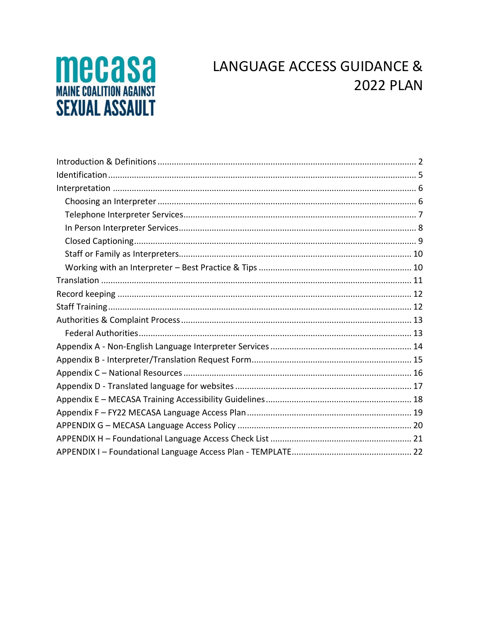# **MECASA SEXUAL ASSAULT**

# LANGUAGE ACCESS GUIDANCE & **2022 PLAN**

<span id="page-0-0"></span>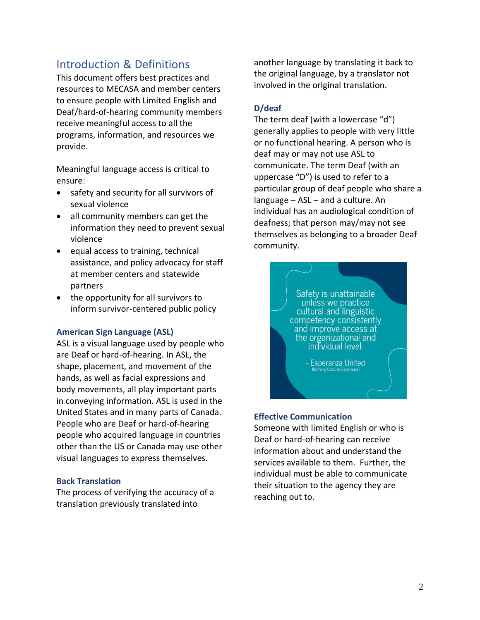## Introduction & Definitions

This document offers best practices and resources to MECASA and member centers to ensure people with Limited English and Deaf/hard-of-hearing community members receive meaningful access to all the programs, information, and resources we provide.

Meaningful language access is critical to ensure:

- safety and security for all survivors of sexual violence
- all community members can get the information they need to prevent sexual violence
- equal access to training, technical assistance, and policy advocacy for staff at member centers and statewide partners
- the opportunity for all survivors to inform survivor-centered public policy

#### **American Sign Language (ASL)**

ASL is a visual language used by people who are Deaf or hard-of-hearing. In ASL, the shape, placement, and movement of the hands, as well as facial expressions and body movements, all play important parts in conveying information. ASL is used in the United States and in many parts of Canada. People who are Deaf or hard-of-hearing people who acquired language in countries other than the US or Canada may use other visual languages to express themselves.

#### **Back Translation**

The process of verifying the accuracy of a translation previously translated into

another language by translating it back to the original language, by a translator not involved in the original translation.

#### **D/deaf**

The term deaf (with a lowercase "d") generally applies to people with very little or no functional hearing. A person who is deaf may or may not use ASL to communicate. The term Deaf (with an uppercase "D") is used to refer to a particular group of deaf people who share a language – ASL – and a culture. An individual has an audiological condition of deafness; that person may/may not see themselves as belonging to a broader Deaf community.

> Safety is unattainable unless we practice cultural and linguistic competency consistently and improve access at the organizational and individual level.

> > **Esperanza United**

#### **Effective Communication**

Someone with limited English or who is Deaf or hard-of-hearing can receive information about and understand the services available to them. Further, the individual must be able to communicate their situation to the agency they are reaching out to.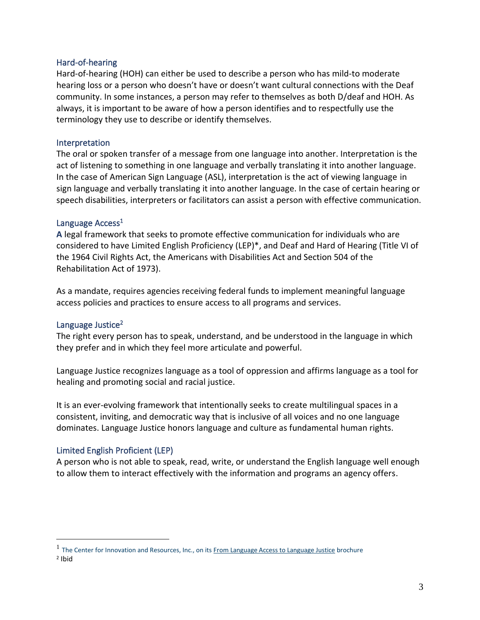#### Hard-of-hearing

Hard-of-hearing (HOH) can either be used to describe a person who has mild-to moderate hearing loss or a person who doesn't have or doesn't want cultural connections with the Deaf community. In some instances, a person may refer to themselves as both D/deaf and HOH. As always, it is important to be aware of how a person identifies and to respectfully use the terminology they use to describe or identify themselves.

#### Interpretation

The oral or spoken transfer of a message from one language into another. Interpretation is the act of listening to something in one language and verbally translating it into another language. In the case of American Sign Language (ASL), interpretation is the act of viewing language in sign language and verbally translating it into another language. In the case of certain hearing or speech disabilities, interpreters or facilitators can assist a person with effective communication.

#### Language Access<sup>1</sup>

**A** legal framework that seeks to promote effective communication for individuals who are considered to have Limited English Proficiency (LEP)\*, and Deaf and Hard of Hearing (Title VI of the 1964 Civil Rights Act, the Americans with Disabilities Act and Section 504 of the Rehabilitation Act of 1973).

As a mandate, requires agencies receiving federal funds to implement meaningful language access policies and practices to ensure access to all programs and services.

#### Language Justice<sup>2</sup>

The right every person has to speak, understand, and be understood in the language in which they prefer and in which they feel more articulate and powerful.

Language Justice recognizes language as a tool of oppression and affirms language as a tool for healing and promoting social and racial justice.

It is an ever-evolving framework that intentionally seeks to create multilingual spaces in a consistent, inviting, and democratic way that is inclusive of all voices and no one language dominates. Language Justice honors language and culture as fundamental human rights.

#### Limited English Proficient (LEP)

A person who is not able to speak, read, write, or understand the English language well enough to allow them to interact effectively with the information and programs an agency offers.

<sup>&</sup>lt;sup>1</sup> The Center for Innovation and Resources, Inc., on it[s From Language Access to Language Justice](https://cirinc.org/file_download/36cfa845-1df4-42c4-a089-d335d5b1a3e4) brochure

<sup>2</sup> Ibid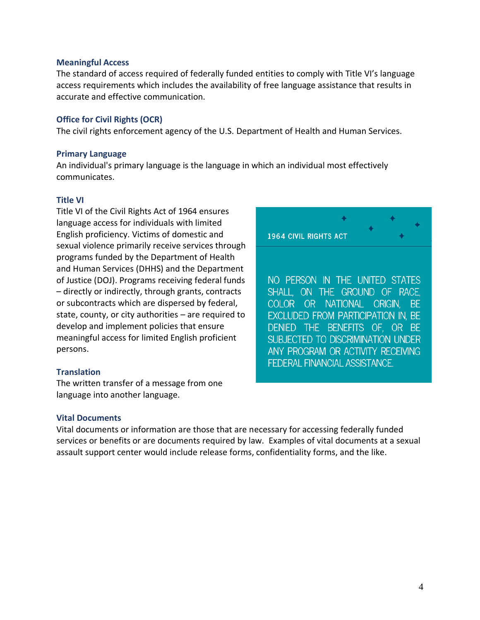#### **Meaningful Access**

The standard of access required of federally funded entities to comply with Title VI's language access requirements which includes the availability of free language assistance that results in accurate and effective communication.

#### **Office for Civil Rights (OCR)**

The civil rights enforcement agency of the U.S. Department of Health and Human Services.

#### **Primary Language**

An individual's primary language is the language in which an individual most effectively communicates.

#### **Title VI**

Title VI of the Civil Rights Act of 1964 ensures language access for individuals with limited English proficiency. Victims of domestic and sexual violence primarily receive services through programs funded by the Department of Health and Human Services (DHHS) and the Department of Justice (DOJ). Programs receiving federal funds – directly or indirectly, through grants, contracts or subcontracts which are dispersed by federal, state, county, or city authorities – are required to develop and implement policies that ensure meaningful access for limited English proficient persons.

#### **Translation**

The written transfer of a message from one language into another language.

#### **Vital Documents**

Vital documents or information are those that are necessary for accessing federally funded services or benefits or are documents required by law. Examples of vital documents at a sexual assault support center would include release forms, confidentiality forms, and the like.

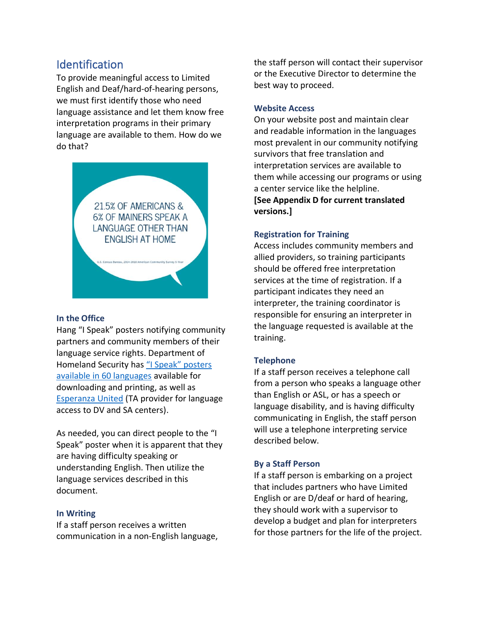# <span id="page-4-0"></span>Identification

To provide meaningful access to Limited English and Deaf/hard-of-hearing persons, we must first identify those who need language assistance and let them know free interpretation programs in their primary language are available to them. How do we do that?



#### **In the Office**

Hang "I Speak" posters notifying community partners and community members of their language service rights. Department of Homeland Security has "I Speak" posters [available in 60 languages](https://www.dhs.gov/blue-campaign/materials/posters-ispeak) available for downloading and printing, as well as [Esperanza United](https://esperanzaunited.org/en/knowledge-base/language-access/identifying-spoken-language/) (TA provider for language access to DV and SA centers).

As needed, you can direct people to the "I Speak" poster when it is apparent that they are having difficulty speaking or understanding English. Then utilize the language services described in this document.

#### **In Writing**

If a staff person receives a written communication in a non-English language, the staff person will contact their supervisor or the Executive Director to determine the best way to proceed.

#### **Website Access**

On your website post and maintain clear and readable information in the languages most prevalent in our community notifying survivors that free translation and interpretation services are available to them while accessing our programs or using a center service like the helpline.

**[See Appendix D for current translated versions.]**

#### **Registration for Training**

Access includes community members and allied providers, so training participants should be offered free interpretation services at the time of registration. If a participant indicates they need an interpreter, the training coordinator is responsible for ensuring an interpreter in the language requested is available at the training.

#### **Telephone**

If a staff person receives a telephone call from a person who speaks a language other than English or ASL, or has a speech or language disability, and is having difficulty communicating in English, the staff person will use a telephone interpreting service described below.

#### **By a Staff Person**

If a staff person is embarking on a project that includes partners who have Limited English or are D/deaf or hard of hearing, they should work with a supervisor to develop a budget and plan for interpreters for those partners for the life of the project.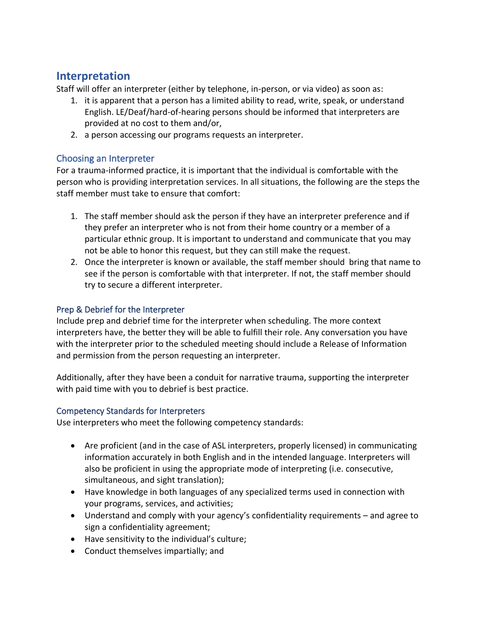## <span id="page-5-0"></span>**Interpretation**

Staff will offer an interpreter (either by telephone, in-person, or via video) as soon as:

- 1. it is apparent that a person has a limited ability to read, write, speak, or understand English. LE/Deaf/hard-of-hearing persons should be informed that interpreters are provided at no cost to them and/or,
- 2. a person accessing our programs requests an interpreter.

## <span id="page-5-1"></span>Choosing an Interpreter

For a trauma-informed practice, it is important that the individual is comfortable with the person who is providing interpretation services. In all situations, the following are the steps the staff member must take to ensure that comfort:

- 1. The staff member should ask the person if they have an interpreter preference and if they prefer an interpreter who is not from their home country or a member of a particular ethnic group. It is important to understand and communicate that you may not be able to honor this request, but they can still make the request.
- 2. Once the interpreter is known or available, the staff member should bring that name to see if the person is comfortable with that interpreter. If not, the staff member should try to secure a different interpreter.

## Prep & Debrief for the Interpreter

Include prep and debrief time for the interpreter when scheduling. The more context interpreters have, the better they will be able to fulfill their role. Any conversation you have with the interpreter prior to the scheduled meeting should include a Release of Information and permission from the person requesting an interpreter.

Additionally, after they have been a conduit for narrative trauma, supporting the interpreter with paid time with you to debrief is best practice.

## Competency Standards for Interpreters

Use interpreters who meet the following competency standards:

- Are proficient (and in the case of ASL interpreters, properly licensed) in communicating information accurately in both English and in the intended language. Interpreters will also be proficient in using the appropriate mode of interpreting (i.e. consecutive, simultaneous, and sight translation);
- Have knowledge in both languages of any specialized terms used in connection with your programs, services, and activities;
- Understand and comply with your agency's confidentiality requirements and agree to sign a confidentiality agreement;
- Have sensitivity to the individual's culture;
- Conduct themselves impartially; and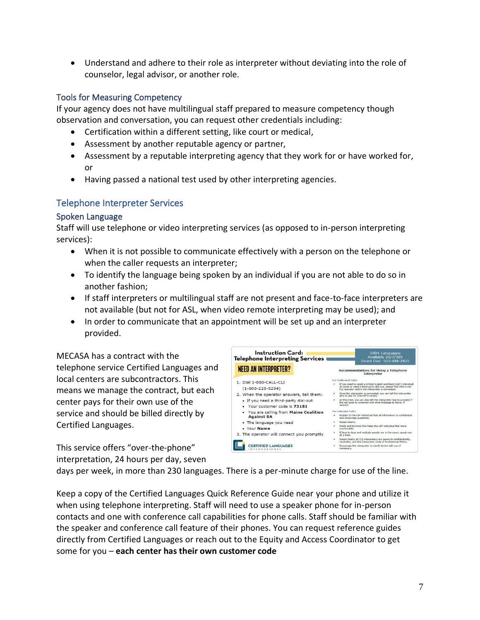• Understand and adhere to their role as interpreter without deviating into the role of counselor, legal advisor, or another role.

## Tools for Measuring Competency

If your agency does not have multilingual staff prepared to measure competency though observation and conversation, you can request other credentials including:

- Certification within a different setting, like court or medical,
- Assessment by another reputable agency or partner,
- Assessment by a reputable interpreting agency that they work for or have worked for, or
- Having passed a national test used by other interpreting agencies.

## <span id="page-6-0"></span>Telephone Interpreter Services

#### Spoken Language

Staff will use telephone or video interpreting services (as opposed to in-person interpreting services):

- When it is not possible to communicate effectively with a person on the telephone or when the caller requests an interpreter;
- To identify the language being spoken by an individual if you are not able to do so in another fashion;
- If staff interpreters or multilingual staff are not present and face-to-face interpreters are not available (but not for ASL, when video remote interpreting may be used); and
- In order to communicate that an appointment will be set up and an interpreter provided.

MECASA has a contract with the telephone service Certified Languages and local centers are subcontractors. This means we manage the contract, but each center pays for their own use of the service and should be billed directly by Certified Languages.

This service offers "over-the-phone" interpretation, 24 hours per day, seven



days per week, in more than 230 languages. There is a per-minute charge for use of the line.

Keep a copy of the Certified Languages Quick Reference Guide near your phone and utilize it when using telephone interpreting. Staff will need to use a speaker phone for in-person contacts and one with conference call capabilities for phone calls. Staff should be familiar with the speaker and conference call feature of their phones. You can request reference guides directly from Certified Languages or reach out to the Equity and Access Coordinator to get some for you – **each center has their own customer code**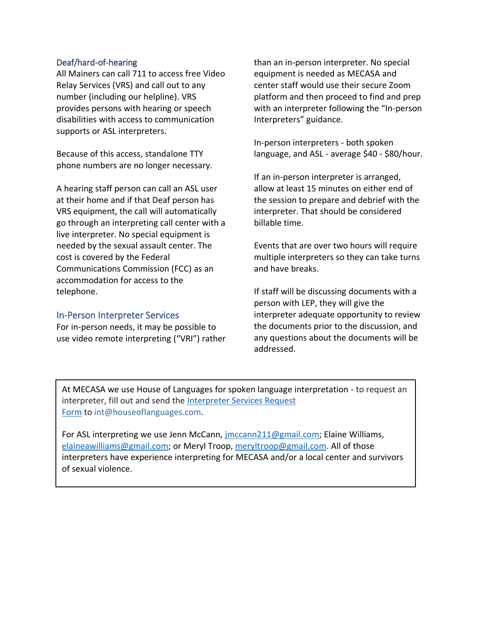#### Deaf/hard-of-hearing

All Mainers can call 711 to access free Video Relay Services (VRS) and call out to any number (including our helpline). VRS provides persons with hearing or speech disabilities with access to communication supports or ASL interpreters.

Because of this access, standalone TTY phone numbers are no longer necessary.

A hearing staff person can call an ASL user at their home and if that Deaf person has VRS equipment, the call will automatically go through an interpreting call center with a live interpreter. No special equipment is needed by the sexual assault center. The cost is covered by the Federal Communications Commission (FCC) as an accommodation for access to the telephone.

#### <span id="page-7-0"></span>In-Person Interpreter Services

For in-person needs, it may be possible to use video remote interpreting ("VRI") rather than an in-person interpreter. No special equipment is needed as MECASA and center staff would use their secure Zoom platform and then proceed to find and prep with an interpreter following the "In-person Interpreters" guidance.

In-person interpreters - both spoken language, and ASL - average \$40 - \$80/hour.

If an in-person interpreter is arranged, allow at least 15 minutes on either end of the session to prepare and debrief with the interpreter. That should be considered billable time.

Events that are over two hours will require multiple interpreters so they can take turns and have breaks.

If staff will be discussing documents with a person with LEP, they will give the interpreter adequate opportunity to review the documents prior to the discussion, and any questions about the documents will be addressed.

At MECASA we use House of Languages for spoken language interpretation - to request an interpreter, fill out and send the [Interpreter Services Request](mailto:Interpreter%20Services%20Request%20Form)  [Form](mailto:Interpreter%20Services%20Request%20Form) to [int@houseoflanguages.com.](mailto:int@houseoflanguages.com)

<span id="page-7-1"></span>For ASL interpreting we use Jenn McCann, [jmccann211@gmail.com;](mailto:jmccann211@gmail.com) Elaine Williams, [elaineawilliams@gmail.com;](mailto:elaineawilliams@gmail.com) or Meryl Troop, [meryltroop@gmail.com.](mailto:meryltroop@gmail.com) All of those interpreters have experience interpreting for MECASA and/or a local center and survivors of sexual violence.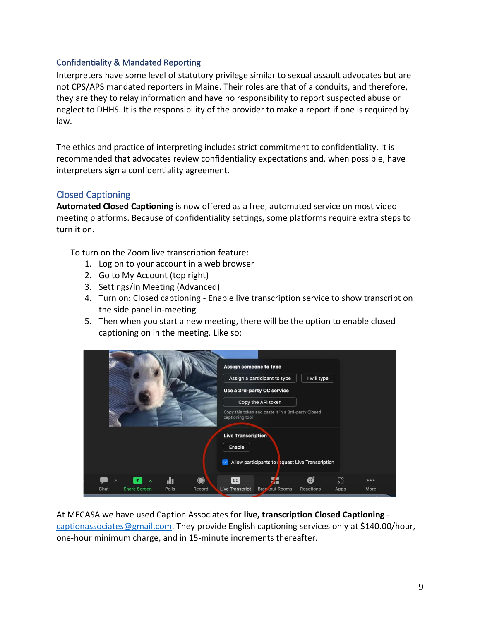#### Confidentiality & Mandated Reporting

Interpreters have some level of statutory privilege similar to sexual assault advocates but are not CPS/APS mandated reporters in Maine. Their roles are that of a conduits, and therefore, they are they to relay information and have no responsibility to report suspected abuse or neglect to DHHS. It is the responsibility of the provider to make a report if one is required by law.

The ethics and practice of interpreting includes strict commitment to confidentiality. It is recommended that advocates review confidentiality expectations and, when possible, have interpreters sign a confidentiality agreement.

## Closed Captioning

**Automated Closed Captioning** is now offered as a free, automated service on most video meeting platforms. Because of confidentiality settings, some platforms require extra steps to turn it on.

To turn on the Zoom live transcription feature:

- 1. Log on to your account in a web browser
- 2. Go to My Account (top right)
- 3. Settings/In Meeting (Advanced)
- 4. Turn on: Closed captioning Enable live transcription service to show transcript on the side panel in-meeting
- 5. Then when you start a new meeting, there will be the option to enable closed captioning on in the meeting. Like so:

| Allow participants to request Live Transcription<br>dı.<br>$\bigcirc$<br>53<br>6<br>cc<br>H<br>0.0.0<br>ㅅ<br><b>Share Screen</b><br>Polls<br>Chat<br>Record<br><b>Live Transcript</b><br>Brez, out Rooms<br>Reactions<br>Apps<br>More |  |  | Assign someone to type<br>captioning tool<br><b>Live Transcription</b><br>Enable | Assign a participant to type<br>Use a 3rd-party CC service<br>Copy the API token<br>Copy this token and paste it in a 3rd-party Closed | I will type |  |  |
|---------------------------------------------------------------------------------------------------------------------------------------------------------------------------------------------------------------------------------------|--|--|----------------------------------------------------------------------------------|----------------------------------------------------------------------------------------------------------------------------------------|-------------|--|--|
|                                                                                                                                                                                                                                       |  |  |                                                                                  |                                                                                                                                        |             |  |  |
|                                                                                                                                                                                                                                       |  |  |                                                                                  |                                                                                                                                        |             |  |  |
|                                                                                                                                                                                                                                       |  |  |                                                                                  |                                                                                                                                        |             |  |  |

At MECASA we have used Caption Associates for **live, transcription Closed Captioning** [captionassociates@gmail.com.](mailto:captionassociates@gmail.com) They provide English captioning services only at \$140.00/hour, one-hour minimum charge, and in 15-minute increments thereafter.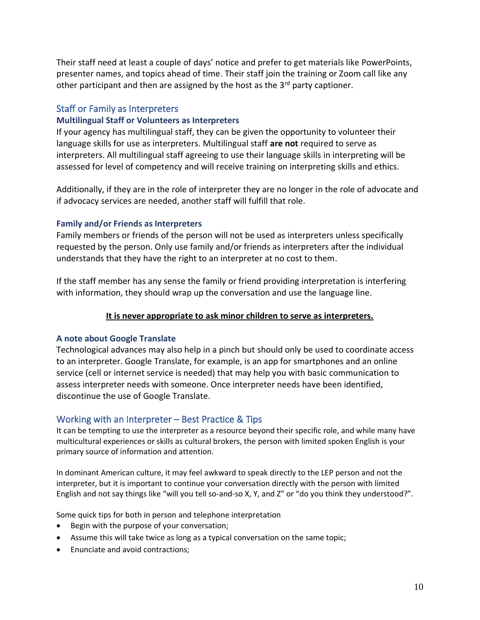Their staff need at least a couple of days' notice and prefer to get materials like PowerPoints, presenter names, and topics ahead of time. Their staff join the training or Zoom call like any other participant and then are assigned by the host as the  $3<sup>rd</sup>$  party captioner.

### <span id="page-9-0"></span>Staff or Family as Interpreters

#### **Multilingual Staff or Volunteers as Interpreters**

If your agency has multilingual staff, they can be given the opportunity to volunteer their language skills for use as interpreters. Multilingual staff **are not** required to serve as interpreters. All multilingual staff agreeing to use their language skills in interpreting will be assessed for level of competency and will receive training on interpreting skills and ethics.

Additionally, if they are in the role of interpreter they are no longer in the role of advocate and if advocacy services are needed, another staff will fulfill that role.

#### **Family and/or Friends as Interpreters**

Family members or friends of the person will not be used as interpreters unless specifically requested by the person. Only use family and/or friends as interpreters after the individual understands that they have the right to an interpreter at no cost to them.

If the staff member has any sense the family or friend providing interpretation is interfering with information, they should wrap up the conversation and use the language line.

#### **It is never appropriate to ask minor children to serve as interpreters.**

#### **A note about Google Translate**

Technological advances may also help in a pinch but should only be used to coordinate access to an interpreter. Google Translate, for example, is an app for smartphones and an online service (cell or internet service is needed) that may help you with basic communication to assess interpreter needs with someone. Once interpreter needs have been identified, discontinue the use of Google Translate.

#### <span id="page-9-1"></span>Working with an Interpreter – Best Practice & Tips

It can be tempting to use the interpreter as a resource beyond their specific role, and while many have multicultural experiences or skills as cultural brokers, the person with limited spoken English is your primary source of information and attention.

In dominant American culture, it may feel awkward to speak directly to the LEP person and not the interpreter, but it is important to continue your conversation directly with the person with limited English and not say things like "will you tell so-and-so X, Y, and Z" or "do you think they understood?".

Some quick tips for both in person and telephone interpretation

- Begin with the purpose of your conversation;
- Assume this will take twice as long as a typical conversation on the same topic;
- Enunciate and avoid contractions;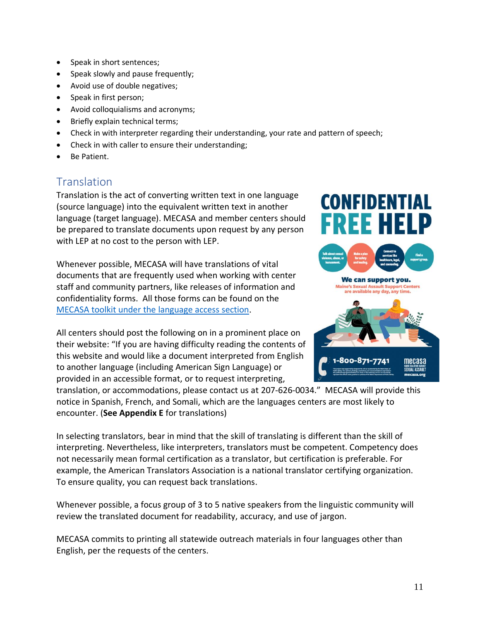- Speak in short sentences;
- Speak slowly and pause frequently;
- Avoid use of double negatives;
- Speak in first person;
- Avoid colloquialisms and acronyms;
- Briefly explain technical terms;
- Check in with interpreter regarding their understanding, your rate and pattern of speech;
- Check in with caller to ensure their understanding;
- Be Patient.

# <span id="page-10-0"></span>**Translation**

Translation is the act of converting written text in one language (source language) into the equivalent written text in another language (target language). MECASA and member centers should be prepared to translate documents upon request by any person with LEP at no cost to the person with LEP.

Whenever possible, MECASA will have translations of vital documents that are frequently used when working with center staff and community partners, like releases of information and confidentiality forms. All those forms can be found on the [MECASA toolkit under the language access section](https://www.mecasatoolkit.org/language-access.html).

All centers should post the following on in a prominent place on their website: "If you are having difficulty reading the contents of this website and would like a document interpreted from English to another language (including American Sign Language) or provided in an accessible format, or to request interpreting,

translation, or accommodations, please contact us at 207-626-0034." MECASA will provide this notice in Spanish, French, and Somali, which are the languages centers are most likely to encounter. (**See Appendix E** for translations)

In selecting translators, bear in mind that the skill of translating is different than the skill of interpreting. Nevertheless, like interpreters, translators must be competent. Competency does not necessarily mean formal certification as a translator, but certification is preferable. For example, the American Translators Association is a national translator certifying organization. To ensure quality, you can request back translations.

Whenever possible, a focus group of 3 to 5 native speakers from the linguistic community will review the translated document for readability, accuracy, and use of jargon.

MECASA commits to printing all statewide outreach materials in four languages other than English, per the requests of the centers.







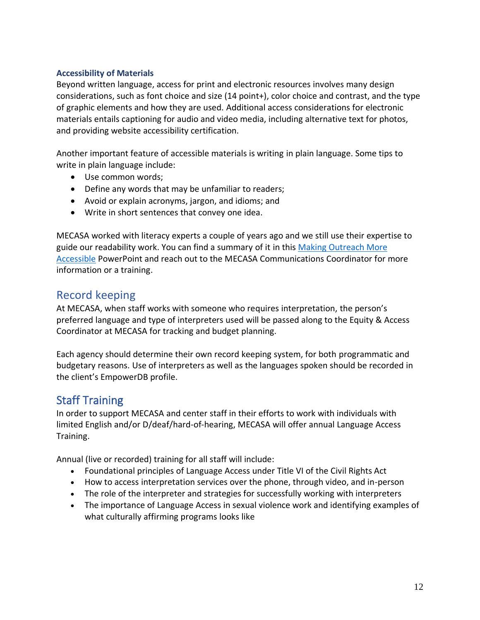#### **Accessibility of Materials**

Beyond written language, access for print and electronic resources involves many design considerations, such as font choice and size (14 point+), color choice and contrast, and the type of graphic elements and how they are used. Additional access considerations for electronic materials entails captioning for audio and video media, including alternative text for photos, and providing website accessibility certification.

Another important feature of accessible materials is writing in plain language. Some tips to write in plain language include:

- Use common words;
- Define any words that may be unfamiliar to readers;
- Avoid or explain acronyms, jargon, and idioms; and
- Write in short sentences that convey one idea.

MECASA worked with literacy experts a couple of years ago and we still use their expertise to guide our readability work. You can find a summary of it in this [Making Outreach More](/Users/katiekondrat/Library/CloudStorage/OneDrive-SharedLibraries-MaineCoalitionAgainstSexualAssault/Maine%20Coalition%20Against%20Sexual%20Assault%20Team%20Site%20-%20Documents/Awareness%20and%20Outreach/Literacy%20&%20Readability/Making%20Things%20Accessible%20-%20for%20center%20staff%20(2).pdf)  [Accessible](/Users/katiekondrat/Library/CloudStorage/OneDrive-SharedLibraries-MaineCoalitionAgainstSexualAssault/Maine%20Coalition%20Against%20Sexual%20Assault%20Team%20Site%20-%20Documents/Awareness%20and%20Outreach/Literacy%20&%20Readability/Making%20Things%20Accessible%20-%20for%20center%20staff%20(2).pdf) PowerPoint and reach out to the MECASA Communications Coordinator for more information or a training.

## <span id="page-11-0"></span>Record keeping

At MECASA, when staff works with someone who requires interpretation, the person's preferred language and type of interpreters used will be passed along to the Equity & Access Coordinator at MECASA for tracking and budget planning.

Each agency should determine their own record keeping system, for both programmatic and budgetary reasons. Use of interpreters as well as the languages spoken should be recorded in the client's EmpowerDB profile.

# <span id="page-11-1"></span>Staff Training

In order to support MECASA and center staff in their efforts to work with individuals with limited English and/or D/deaf/hard-of-hearing, MECASA will offer annual Language Access Training.

Annual (live or recorded) training for all staff will include:

- Foundational principles of Language Access under Title VI of the Civil Rights Act
- How to access interpretation services over the phone, through video, and in-person
- The role of the interpreter and strategies for successfully working with interpreters
- The importance of Language Access in sexual violence work and identifying examples of what culturally affirming programs looks like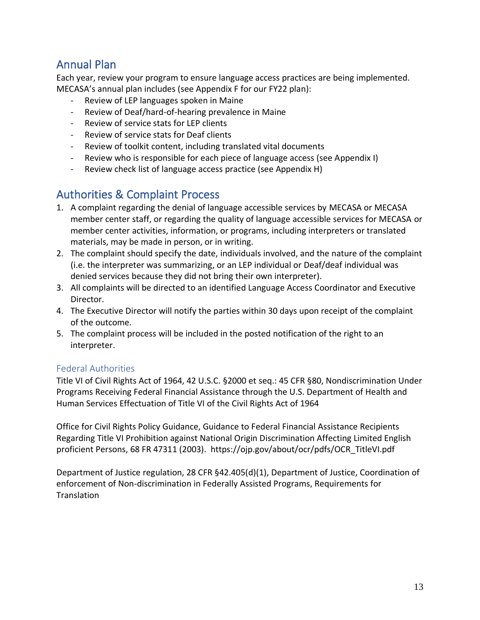# Annual Plan

Each year, review your program to ensure language access practices are being implemented. MECASA's annual plan includes (see Appendix F for our FY22 plan):

- Review of LEP languages spoken in Maine
- Review of Deaf/hard-of-hearing prevalence in Maine
- Review of service stats for LEP clients
- Review of service stats for Deaf clients
- Review of toolkit content, including translated vital documents
- Review who is responsible for each piece of language access (see Appendix I)
- Review check list of language access practice (see Appendix H)

# <span id="page-12-0"></span>Authorities & Complaint Process

- 1. A complaint regarding the denial of language accessible services by MECASA or MECASA member center staff, or regarding the quality of language accessible services for MECASA or member center activities, information, or programs, including interpreters or translated materials, may be made in person, or in writing.
- 2. The complaint should specify the date, individuals involved, and the nature of the complaint (i.e. the interpreter was summarizing, or an LEP individual or Deaf/deaf individual was denied services because they did not bring their own interpreter).
- 3. All complaints will be directed to an identified Language Access Coordinator and Executive Director.
- 4. The Executive Director will notify the parties within 30 days upon receipt of the complaint of the outcome.
- 5. The complaint process will be included in the posted notification of the right to an interpreter.

## <span id="page-12-1"></span>Federal Authorities

Title VI of Civil Rights Act of 1964, 42 U.S.C. §2000 et seq.: 45 CFR §80, Nondiscrimination Under Programs Receiving Federal Financial Assistance through the U.S. Department of Health and Human Services Effectuation of Title VI of the Civil Rights Act of 1964

Office for Civil Rights Policy Guidance, Guidance to Federal Financial Assistance Recipients Regarding Title VI Prohibition against National Origin Discrimination Affecting Limited English proficient Persons, 68 FR 47311 (2003). https://ojp.gov/about/ocr/pdfs/OCR\_TitleVI.pdf

Department of Justice regulation, 28 CFR §42.405(d)(1), Department of Justice, Coordination of enforcement of Non-discrimination in Federally Assisted Programs, Requirements for **Translation**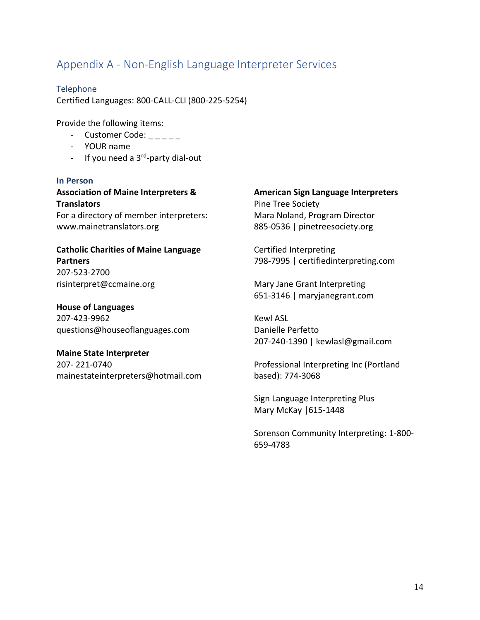# <span id="page-13-0"></span>Appendix A - Non-English Language Interpreter Services

Telephone Certified Languages: 800-CALL-CLI (800-225-5254)

Provide the following items:

- Customer Code: \_ \_ \_ \_ \_
- YOUR name
- If you need a 3<sup>rd</sup>-party dial-out

#### **In Person**

**Association of Maine Interpreters & Translators**

For a directory of member interpreters: www.mainetranslators.org

**Catholic Charities of Maine Language Partners** 207-523-2700 risinterpret@ccmaine.org

**House of Languages**  207-423-9962 questions@houseoflanguages.com

#### **Maine State Interpreter**

207- 221-0740 mainestateinterpreters@hotmail.com

#### **American Sign Language Interpreters**  Pine Tree Society Mara Noland, Program Director 885-0536 | pinetreesociety.org

Certified Interpreting 798-7995 | certifiedinterpreting.com

Mary Jane Grant Interpreting 651-3146 | maryjanegrant.com

Kewl ASL Danielle Perfetto 207-240-1390 | kewlasl@gmail.com

Professional Interpreting Inc (Portland based): 774-3068

Sign Language Interpreting Plus Mary McKay |615-1448

Sorenson Community Interpreting: 1-800- 659-4783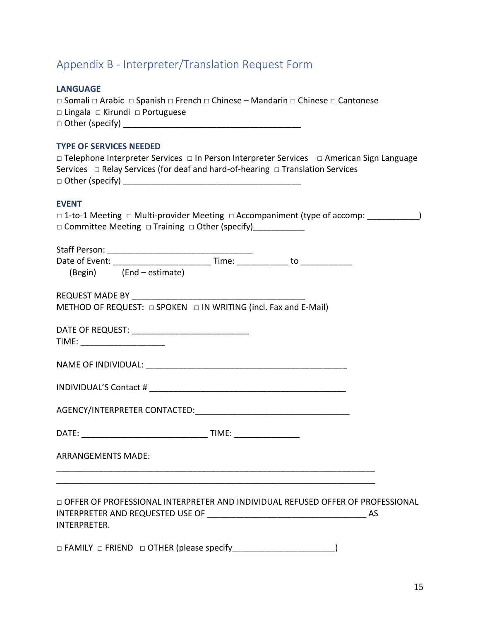# <span id="page-14-0"></span>Appendix B - Interpreter/Translation Request Form

## **LANGUAGE**

| □ Somali □ Arabic □ Spanish □ French □ Chinese – Mandarin □ Chinese □ Cantonese |  |
|---------------------------------------------------------------------------------|--|
| $\Box$ Lingala $\Box$ Kirundi $\Box$ Portuguese                                 |  |
| $\Box$ Other (specify)                                                          |  |

#### **TYPE OF SERVICES NEEDED**

|                        | $\Box$ Telephone Interpreter Services $\Box$ In Person Interpreter Services $\Box$ American Sign Language |  |
|------------------------|-----------------------------------------------------------------------------------------------------------|--|
|                        | Services $\Box$ Relay Services (for deaf and hard-of-hearing $\Box$ Translation Services                  |  |
| $\Box$ Other (specify) |                                                                                                           |  |

## **EVENT**

|                                                                                    |  | □ 1-to-1 Meeting □ Multi-provider Meeting □ Accompaniment (type of accomp: __________) |  |
|------------------------------------------------------------------------------------|--|----------------------------------------------------------------------------------------|--|
| □ Committee Meeting □ Training □ Other (specify)____________                       |  |                                                                                        |  |
|                                                                                    |  |                                                                                        |  |
|                                                                                    |  |                                                                                        |  |
|                                                                                    |  |                                                                                        |  |
| (Begin) (End - estimate)                                                           |  |                                                                                        |  |
| REQUEST MADE BY $\frac{1}{\log 2}$ SPOKEN $\Box$ IN WRITING (incl. Fax and E-Mail) |  |                                                                                        |  |
|                                                                                    |  |                                                                                        |  |
|                                                                                    |  |                                                                                        |  |
| TIME: _______________________                                                      |  |                                                                                        |  |
|                                                                                    |  |                                                                                        |  |
|                                                                                    |  |                                                                                        |  |
|                                                                                    |  |                                                                                        |  |
|                                                                                    |  |                                                                                        |  |
|                                                                                    |  |                                                                                        |  |
|                                                                                    |  |                                                                                        |  |
| <b>ARRANGEMENTS MADE:</b>                                                          |  |                                                                                        |  |
|                                                                                    |  |                                                                                        |  |
|                                                                                    |  |                                                                                        |  |
|                                                                                    |  | OFFER OF PROFESSIONAL INTERPRETER AND INDIVIDUAL REFUSED OFFER OF PROFESSIONAL         |  |
| INTERPRETER.                                                                       |  |                                                                                        |  |
|                                                                                    |  |                                                                                        |  |
|                                                                                    |  |                                                                                        |  |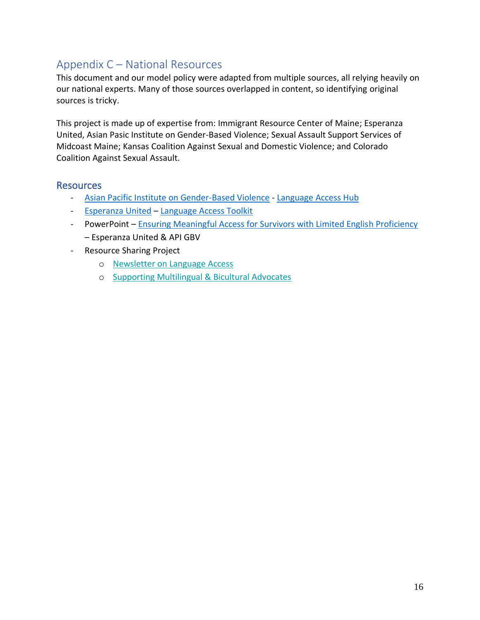# <span id="page-15-0"></span>Appendix C – National Resources

This document and our model policy were adapted from multiple sources, all relying heavily on our national experts. Many of those sources overlapped in content, so identifying original sources is tricky.

This project is made up of expertise from: Immigrant Resource Center of Maine; Esperanza United, Asian Pasic Institute on Gender-Based Violence; Sexual Assault Support Services of Midcoast Maine; Kansas Coalition Against Sexual and Domestic Violence; and Colorado Coalition Against Sexual Assault.

## Resources

- Asian Pacific Institute [on Gender-Based Violence](https://www.api-gbv.org/culturally-specific-advocacy/language-access/) [Language Access Hub](https://www.api-gbv.org/language-access-hub/)
- [Esperanza United](https://esperanzaunited.org/en/about-us/) [Language Access Toolkit](https://esperanzaunited.org/en/knowledge-base/language-access/language-access-home/)
- PowerPoint [Ensuring Meaningful Access for Survivors with Limited English Proficiency](https://www.mecasatoolkit.org/uploads/4/4/3/6/44365787/meaningful_access_for_survivors_with_lep_.pptx) – Esperanza United & API GBV
- Resource Sharing Project
	- o [Newsletter on Language Access](https://www.mecasatoolkit.org/uploads/4/4/3/6/44365787/reshape_newsletter_language_access.pdf)
	- o [Supporting Multilingual & Bicultural Advocates](https://www.mecasatoolkit.org/uploads/4/4/3/6/44365787/supporting_multilingual_and_bicultural_advocates_0.pdf)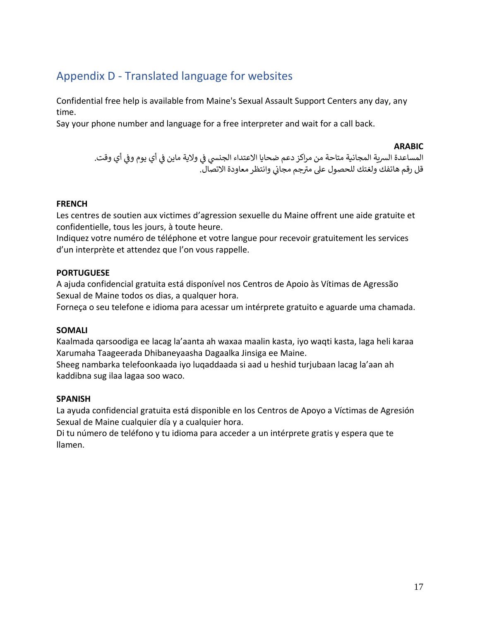# <span id="page-16-0"></span>Appendix D - Translated language for websites

Confidential free help is available from Maine's Sexual Assault Support Centers any day, any time.

Say your phone number and language for a free interpreter and wait for a call back.

#### **ARABIC**

المساعدة السرية المجانية متاحة من مراكز دعم ضحايا الاعتداء الجنسي في ولاية ماين في أي يوم وفي أي وقت. ي i ي ֦֧֦֧֦֧֦֧֦֧֦֧֦֧֧֦֧֦֧֧֦֧֧֦֚֚֡֜֜֓֜֜֜֜֜֞֓֜֜֞֓ ֦֧֦֧֦֧֦֧֦֧֦֧֚֚֡֜֜֓֓֡֜֜ ي بي.<br>قل رقم هاتفك ولغتك للحصول على مترجم مجاني وانتظر معاودة الاتصال.

#### **FRENCH**

Les centres de soutien aux victimes d'agression sexuelle du Maine offrent une aide gratuite et confidentielle, tous les jours, à toute heure.

Indiquez votre numéro de téléphone et votre langue pour recevoir gratuitement les services d'un interprète et attendez que l'on vous rappelle.

#### **PORTUGUESE**

A ajuda confidencial gratuita está disponível nos Centros de Apoio às Vítimas de Agressão Sexual de Maine todos os dias, a qualquer hora.

Forneça o seu telefone e idioma para acessar um intérprete gratuito e aguarde uma chamada.

#### **SOMALI**

Kaalmada qarsoodiga ee lacag la'aanta ah waxaa maalin kasta, iyo waqti kasta, laga heli karaa Xarumaha Taageerada Dhibaneyaasha Dagaalka Jinsiga ee Maine.

Sheeg nambarka telefoonkaada iyo luqaddaada si aad u heshid turjubaan lacag la'aan ah kaddibna sug ilaa lagaa soo waco.

#### **SPANISH**

La ayuda confidencial gratuita está disponible en los Centros de Apoyo a Víctimas de Agresión Sexual de Maine cualquier día y a cualquier hora.

Di tu número de teléfono y tu idioma para acceder a un intérprete gratis y espera que te llamen.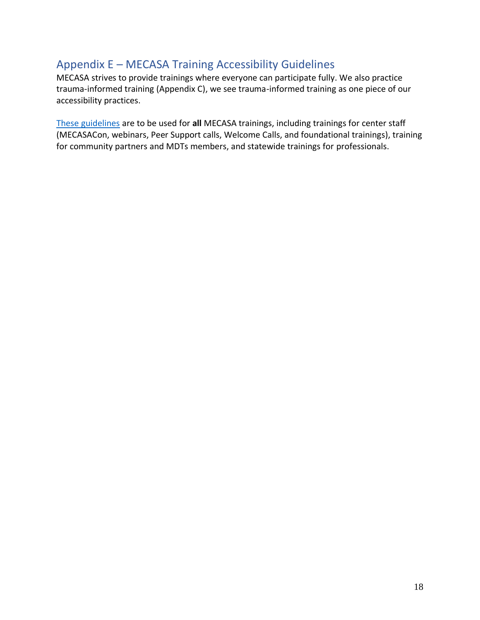# <span id="page-17-0"></span>Appendix E – MECASA Training Accessibility Guidelines

MECASA strives to provide trainings where everyone can participate fully. We also practice trauma-informed training (Appendix C), we see trauma-informed training as one piece of our accessibility practices.

[These guidelines](https://mainecasa.sharepoint.com/:w:/g/EcbZTMxPKmFGqoyYPVIxqp0BCnbAanmwW_bPTI6ai8J7lQ?e=63Xu3a) are to be used for **all** MECASA trainings, including trainings for center staff (MECASACon, webinars, Peer Support calls, Welcome Calls, and foundational trainings), training for community partners and MDTs members, and statewide trainings for professionals.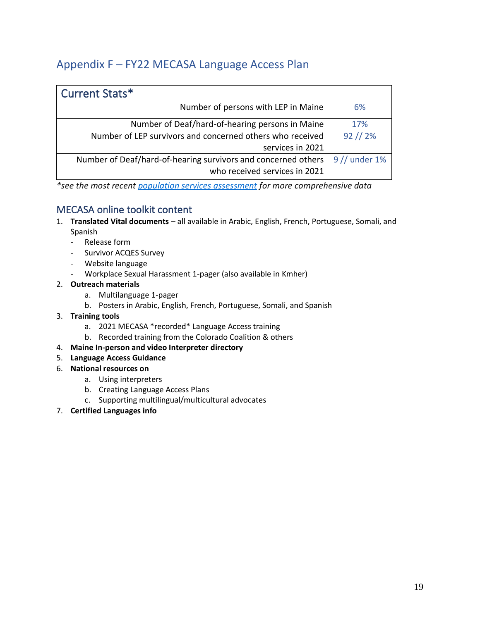# <span id="page-18-0"></span>Appendix F – FY22 MECASA Language Access Plan

| Current Stats*                                                |               |
|---------------------------------------------------------------|---------------|
| Number of persons with LEP in Maine                           | 6%            |
| Number of Deaf/hard-of-hearing persons in Maine               | 17%           |
| Number of LEP survivors and concerned others who received     | $92$ // $2%$  |
| services in 2021                                              |               |
| Number of Deaf/hard-of-hearing survivors and concerned others | 9 // under 1% |
| who received services in 2021                                 |               |

*\*see the most recent [population services assessment](https://www.mecasatoolkit.org/outcomes-data--evaluation.html) for more comprehensive data*

## MECASA online toolkit content

- 1. **Translated Vital documents** all available in Arabic, English, French, Portuguese, Somali, and Spanish
	- Release form
	- Survivor ACQES Survey
	- Website language
	- Workplace Sexual Harassment 1-pager (also available in Kmher)
- 2. **Outreach materials**
	- a. Multilanguage 1-pager
	- b. Posters in Arabic, English, French, Portuguese, Somali, and Spanish
- 3. **Training tools**
	- a. 2021 MECASA \*recorded\* Language Access training
	- b. Recorded training from the Colorado Coalition & others
- 4. **Maine In-person and video Interpreter directory**
- 5. **Language Access Guidance**
- 6. **National resources on**
	- a. Using interpreters
	- b. Creating Language Access Plans
	- c. Supporting multilingual/multicultural advocates
- 7. **Certified Languages info**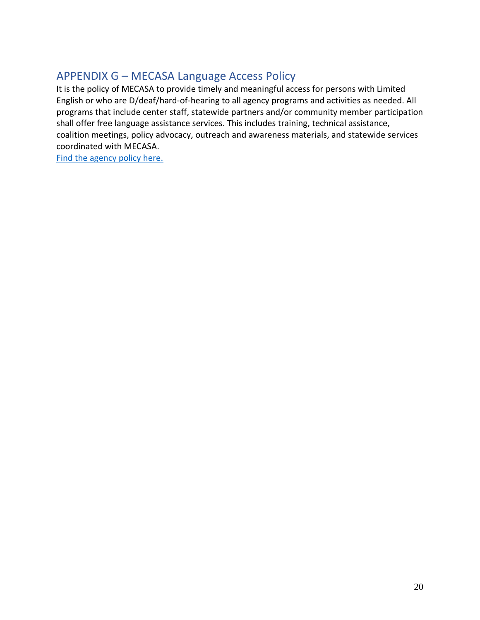# <span id="page-19-0"></span>APPENDIX G – MECASA Language Access Policy

It is the policy of MECASA to provide timely and meaningful access for persons with Limited English or who are D/deaf/hard-of-hearing to all agency programs and activities as needed. All programs that include center staff, statewide partners and/or community member participation shall offer free language assistance services. This includes training, technical assistance, coalition meetings, policy advocacy, outreach and awareness materials, and statewide services coordinated with MECASA.

[Find the agency policy here.](https://mainecasa.sharepoint.com/:w:/g/EUNysYr9mHdDjuXIW0zFj2ABuUiyjM8tCfDOnlXnbQkSIg?e=1OeudS)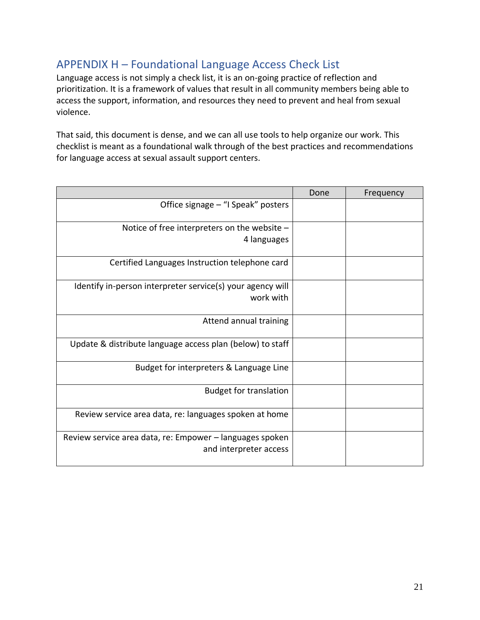# <span id="page-20-0"></span>APPENDIX H – Foundational Language Access Check List

Language access is not simply a check list, it is an on-going practice of reflection and prioritization. It is a framework of values that result in all community members being able to access the support, information, and resources they need to prevent and heal from sexual violence.

That said, this document is dense, and we can all use tools to help organize our work. This checklist is meant as a foundational walk through of the best practices and recommendations for language access at sexual assault support centers.

|                                                            | Done | Frequency |
|------------------------------------------------------------|------|-----------|
| Office signage - "I Speak" posters                         |      |           |
| Notice of free interpreters on the website -               |      |           |
| 4 languages                                                |      |           |
| Certified Languages Instruction telephone card             |      |           |
| Identify in-person interpreter service(s) your agency will |      |           |
| work with                                                  |      |           |
| Attend annual training                                     |      |           |
| Update & distribute language access plan (below) to staff  |      |           |
| Budget for interpreters & Language Line                    |      |           |
| <b>Budget for translation</b>                              |      |           |
| Review service area data, re: languages spoken at home     |      |           |
| Review service area data, re: Empower – languages spoken   |      |           |
| and interpreter access                                     |      |           |